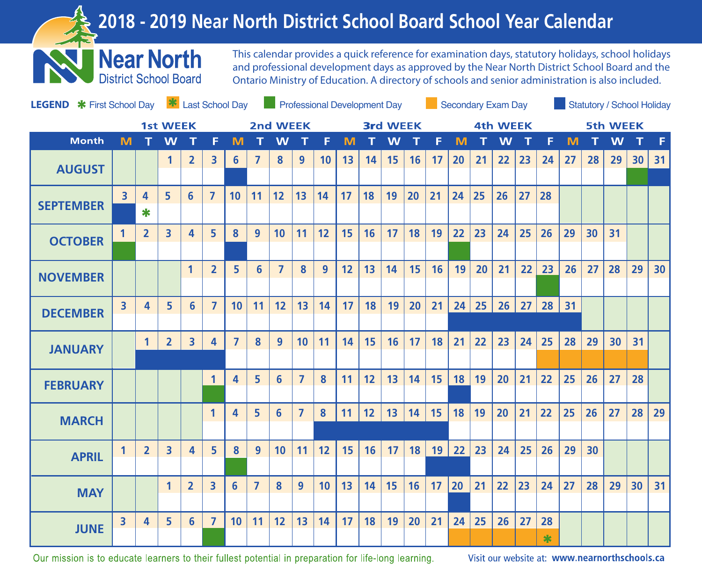# **2018 - 2019 Near North District School Board School Year Calendar**



This calendar provides a quick reference for examination days, statutory holidays, school holidays and professional development days as approved by the Near North District School Board and the Ontario Ministry of Education. A directory of schools and senior administration is also included.

| <b>LEGEND *</b> First School Day $\bullet$ Last School Day |                         |                |                |                |                |                  |                             | <b>Professional Development Day</b> |                 |                 |                 |                 |                 | <b>Secondary Exam Day</b> |       |           |       |                 |                 | <b>Statutory / School Holiday</b> |    |    |    |                 |    |
|------------------------------------------------------------|-------------------------|----------------|----------------|----------------|----------------|------------------|-----------------------------|-------------------------------------|-----------------|-----------------|-----------------|-----------------|-----------------|---------------------------|-------|-----------|-------|-----------------|-----------------|-----------------------------------|----|----|----|-----------------|----|
| <b>1st WEEK</b>                                            |                         |                |                |                |                |                  | 2nd WEEK<br><b>3rd WEEK</b> |                                     |                 |                 |                 |                 | <b>4th WEEK</b> |                           |       |           |       |                 | <b>5th WEEK</b> |                                   |    |    |    |                 |    |
| <b>Month</b>                                               | M                       |                | W              | т              | F              | M                |                             | W                                   | т               | F               | M               |                 | W               | т                         | F     | M         |       | W               | т               | F                                 | M  |    | W  | $\mathsf T$     | F  |
| <b>AUGUST</b>                                              |                         |                | $\mathbf 1$    | $\mathbf{2}$   | 3              | 6                | $\overline{7}$              | 8                                   | 9               | 10 <sup>°</sup> | 13              | 14              | 15              | 16                        | 17    | 20        | 21    | 22              | 23              | 24                                | 27 | 28 | 29 | 30 <sub>2</sub> | 31 |
| <b>SEPTEMBER</b>                                           | $\overline{\mathbf{3}}$ | 4<br>$\ast$    | 5              | 6              | $\overline{7}$ | 10 <sup>°</sup>  | 11                          | 12                                  | 13 <sup>°</sup> | 14              | 17              | 18              | 19              | 20 <sup>°</sup>           | 21    | 24        | 25    | 26              | 27              | 28                                |    |    |    |                 |    |
| <b>OCTOBER</b>                                             | 1                       | $\overline{2}$ | 3              | 4              | 5              | 8                | 9                           | 10                                  | 11              | 12              | 15              | 16              | 17              | 18                        | 19    | 22        | 23    | 24              | 25 <sub>2</sub> | 26                                | 29 | 30 | 31 |                 |    |
| <b>NOVEMBER</b>                                            |                         |                |                | $\mathbf{1}$   | $\overline{2}$ | 5                | 6                           | $\overline{7}$                      | 8               | $\overline{9}$  | 12 <sub>2</sub> | 13              | 14              | 15                        | 16    | 19        | 20    | 21              | 22              | 23                                | 26 | 27 | 28 | 29              | 30 |
| <b>DECEMBER</b>                                            | $\overline{\mathbf{3}}$ | 4              | 5 <sup>5</sup> | $6\phantom{a}$ | $\overline{7}$ | 10               | 11                          | 12 <sup>2</sup>                     | 13 <sup>°</sup> | 14              | 17              | 18              | 19              | 20                        | 21    |           | 24 25 | 26 <sup>°</sup> | 27              | 28                                | 31 |    |    |                 |    |
| <b>JANUARY</b>                                             |                         | $\mathbf{1}$   | 2 <sup>1</sup> | 3 <sup>1</sup> | 4              | $\overline{7}$   | 8                           | $\overline{9}$                      | 10 <sup>°</sup> | 11              | 14              | 15 <sub>1</sub> | 16              | 17                        | 18    | 21        | 22    | 23              | 24              | 25                                | 28 | 29 | 30 | 31              |    |
| <b>FEBRUARY</b>                                            |                         |                |                |                | $\mathbf{1}$   | $\overline{4}$   | 5                           | $6\phantom{1}$                      | $\overline{7}$  | 8               | 11              | 12 <sup>°</sup> | 13              | 14                        |       | 15 18     | 19    | 20              | 21              | 22                                | 25 | 26 | 27 | 28              |    |
| <b>MARCH</b>                                               |                         |                |                |                | 1              | 4                | 5                           | $6\phantom{1}$                      | $\overline{7}$  | 8               | 11              | 12              | 13 <sup>°</sup> | 14                        | 15 18 |           | 19    | 20              | 21              | 22                                | 25 | 26 | 27 | 28              | 29 |
| <b>APRIL</b>                                               | $\mathbf{1}$            | $\overline{2}$ | $\overline{3}$ | 4              | 5              | $\boldsymbol{8}$ | 9                           | 10                                  | 11              | 12              | 15              | 16              | 17              | 18                        |       | $19$   22 | 23    | 24              | 25              | 26                                | 29 | 30 |    |                 |    |
| <b>MAY</b>                                                 |                         |                | $\mathbf{1}$   | $\overline{2}$ | 3              | $6\phantom{a}$   | $\overline{7}$              | 8                                   | 9               | 10              | 13              | 14              | 15              | 16                        |       | 17 20     | 21    | 22              | 23              | 24                                | 27 | 28 | 29 | 30 <sup>°</sup> | 31 |
| <b>JUNE</b>                                                | $\overline{3}$          | 4              | 5              | 6 <sup>1</sup> | $\overline{7}$ | 10               | 11                          | 12                                  | 13 <sup>°</sup> | 14              | 17              | 18              | 19              | 20                        | 21    | 24        | 25    | 26              | 27              | 28<br>$*$                         |    |    |    |                 |    |

Our mission is to educate learners to their fullest potential in preparation for life-long learning.

Visit our website at: www.nearnorthschools.ca